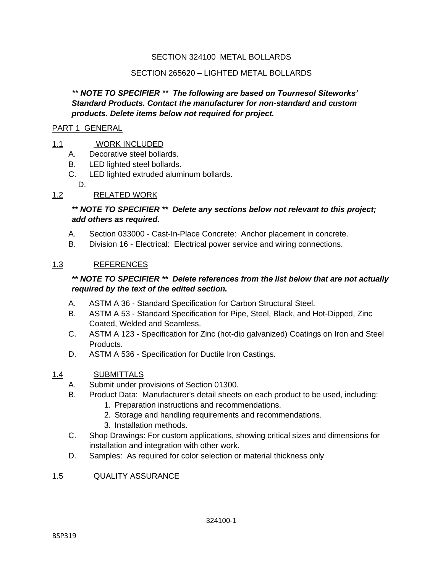#### SECTION 324100 METAL BOLLARDS

#### SECTION 265620 – LIGHTED METAL BOLLARDS

#### *\*\* NOTE TO SPECIFIER \*\* The following are based on Tournesol Siteworks' Standard Products. Contact the manufacturer for non-standard and custom products. Delete items below not required for project.*

#### PART 1 GENERAL

#### 1.1 WORK INCLUDED

- A. Decorative steel bollards.
- B. LED lighted steel bollards.
- C. LED lighted extruded aluminum bollards.
	- D.

## 1.2 RELATED WORK

## *\*\* NOTE TO SPECIFIER \*\* Delete any sections below not relevant to this project; add others as required.*

- A. Section 033000 Cast-In-Place Concrete: Anchor placement in concrete.
- B. Division 16 Electrical: Electrical power service and wiring connections.

#### 1.3 REFERENCES

## *\*\* NOTE TO SPECIFIER \*\* Delete references from the list below that are not actually required by the text of the edited section.*

- A. ASTM A 36 Standard Specification for Carbon Structural Steel.
- B. ASTM A 53 Standard Specification for Pipe, Steel, Black, and Hot-Dipped, Zinc Coated, Welded and Seamless.
- C. ASTM A 123 Specification for Zinc (hot-dip galvanized) Coatings on Iron and Steel Products.
- D. ASTM A 536 Specification for Ductile Iron Castings.

#### 1.4 SUBMITTALS

- A. Submit under provisions of Section 01300.
- B. Product Data: Manufacturer's detail sheets on each product to be used, including:
	- 1. Preparation instructions and recommendations.
	- 2. Storage and handling requirements and recommendations.
	- 3. Installation methods.
- C. Shop Drawings: For custom applications, showing critical sizes and dimensions for installation and integration with other work.
- D. Samples: As required for color selection or material thickness only

#### 1.5 QUALITY ASSURANCE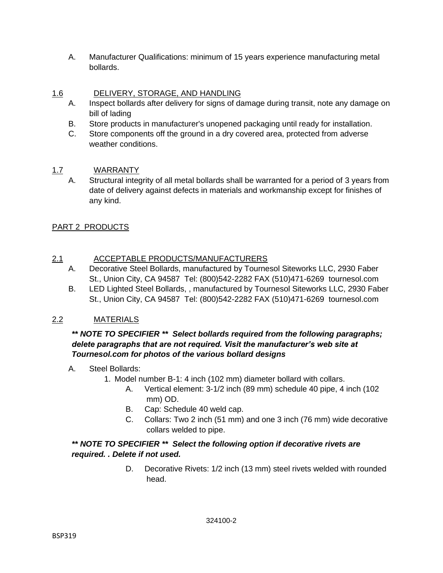A. Manufacturer Qualifications: minimum of 15 years experience manufacturing metal bollards.

## 1.6 DELIVERY, STORAGE, AND HANDLING

- A. Inspect bollards after delivery for signs of damage during transit, note any damage on bill of lading
- B. Store products in manufacturer's unopened packaging until ready for installation.
- C. Store components off the ground in a dry covered area, protected from adverse weather conditions.

# 1.7 WARRANTY

A. Structural integrity of all metal bollards shall be warranted for a period of 3 years from date of delivery against defects in materials and workmanship except for finishes of any kind.

# PART 2 PRODUCTS

# 2.1 ACCEPTABLE PRODUCTS/MANUFACTURERS

- A. Decorative Steel Bollards, manufactured by Tournesol Siteworks LLC, 2930 Faber St., Union City, CA 94587 Tel: (800)542-2282 FAX (510)471-6269 tournesol.com
- B. LED Lighted Steel Bollards, , manufactured by Tournesol Siteworks LLC, 2930 Faber St., Union City, CA 94587 Tel: (800)542-2282 FAX (510)471-6269 tournesol.com

# 2.2 MATERIALS

### *\*\* NOTE TO SPECIFIER \*\* Select bollards required from the following paragraphs; delete paragraphs that are not required. Visit the manufacturer's web site at Tournesol.com for photos of the various bollard designs*

- A. Steel Bollards:
	- 1. Model number B-1: 4 inch (102 mm) diameter bollard with collars.
		- A. Vertical element: 3-1/2 inch (89 mm) schedule 40 pipe, 4 inch (102 mm) OD.
		- B. Cap: Schedule 40 weld cap.
		- C. Collars: Two 2 inch (51 mm) and one 3 inch (76 mm) wide decorative collars welded to pipe.

#### *\*\* NOTE TO SPECIFIER \*\* Select the following option if decorative rivets are required. . Delete if not used.*

D. Decorative Rivets: 1/2 inch (13 mm) steel rivets welded with rounded head.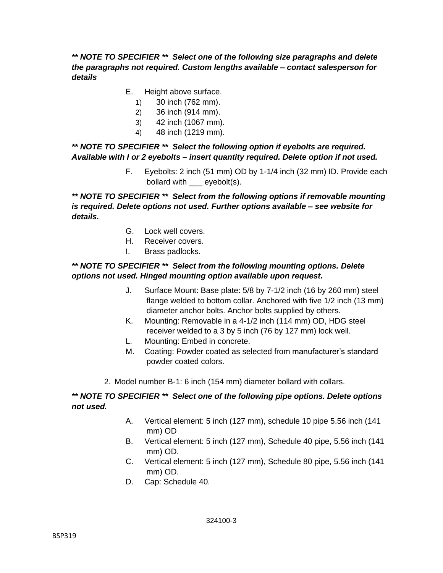## *\*\* NOTE TO SPECIFIER \*\* Select one of the following size paragraphs and delete the paragraphs not required. Custom lengths available – contact salesperson for details*

- E. Height above surface.
	- 1) 30 inch (762 mm).
	- 2) 36 inch (914 mm).
	- 3) 42 inch (1067 mm).
	- 4) 48 inch (1219 mm).

## *\*\* NOTE TO SPECIFIER \*\* Select the following option if eyebolts are required. Available with I or 2 eyebolts – insert quantity required. Delete option if not used.*

F. Eyebolts: 2 inch (51 mm) OD by 1-1/4 inch (32 mm) ID. Provide each bollard with eyebolt(s).

*\*\* NOTE TO SPECIFIER \*\* Select from the following options if removable mounting is required. Delete options not used. Further options available – see website for details.*

- G. Lock well covers.
- H. Receiver covers.
- I. Brass padlocks.

### *\*\* NOTE TO SPECIFIER \*\* Select from the following mounting options. Delete options not used. Hinged mounting option available upon request.*

- J. Surface Mount: Base plate: 5/8 by 7-1/2 inch (16 by 260 mm) steel flange welded to bottom collar. Anchored with five 1/2 inch (13 mm) diameter anchor bolts. Anchor bolts supplied by others.
- K. Mounting: Removable in a 4-1/2 inch (114 mm) OD, HDG steel receiver welded to a 3 by 5 inch (76 by 127 mm) lock well.
- L. Mounting: Embed in concrete.
- M. Coating: Powder coated as selected from manufacturer's standard powder coated colors.
- 2. Model number B-1: 6 inch (154 mm) diameter bollard with collars.

## *\*\* NOTE TO SPECIFIER \*\* Select one of the following pipe options. Delete options not used.*

- A. Vertical element: 5 inch (127 mm), schedule 10 pipe 5.56 inch (141 mm) OD
- B. Vertical element: 5 inch (127 mm), Schedule 40 pipe, 5.56 inch (141 mm) OD.
- C. Vertical element: 5 inch (127 mm), Schedule 80 pipe, 5.56 inch (141 mm) OD.
- D. Cap: Schedule 40.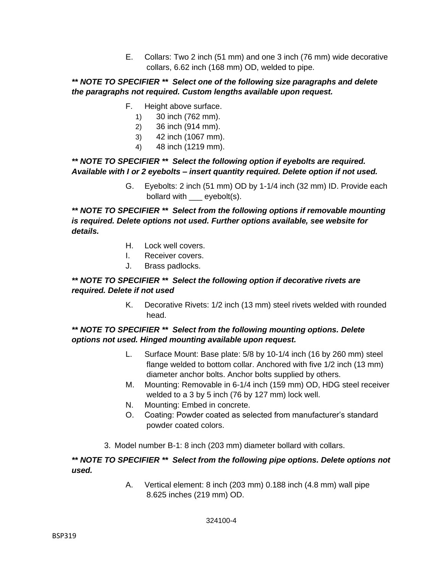E. Collars: Two 2 inch (51 mm) and one 3 inch (76 mm) wide decorative collars, 6.62 inch (168 mm) OD, welded to pipe.

#### *\*\* NOTE TO SPECIFIER \*\* Select one of the following size paragraphs and delete the paragraphs not required. Custom lengths available upon request.*

- F. Height above surface.
	- 1) 30 inch (762 mm).
	- 2) 36 inch (914 mm).
	- 3) 42 inch (1067 mm).
	- 4) 48 inch (1219 mm).

#### *\*\* NOTE TO SPECIFIER \*\* Select the following option if eyebolts are required. Available with I or 2 eyebolts – insert quantity required. Delete option if not used.*

G. Eyebolts: 2 inch (51 mm) OD by 1-1/4 inch (32 mm) ID. Provide each bollard with \_\_\_ eyebolt(s).

*\*\* NOTE TO SPECIFIER \*\* Select from the following options if removable mounting is required. Delete options not used. Further options available, see website for details.*

- H. Lock well covers.
- I. Receiver covers.
- J. Brass padlocks.

#### *\*\* NOTE TO SPECIFIER \*\* Select the following option if decorative rivets are required. Delete if not used*

K. Decorative Rivets: 1/2 inch (13 mm) steel rivets welded with rounded head.

#### *\*\* NOTE TO SPECIFIER \*\* Select from the following mounting options. Delete options not used. Hinged mounting available upon request.*

- L. Surface Mount: Base plate: 5/8 by 10-1/4 inch (16 by 260 mm) steel flange welded to bottom collar. Anchored with five 1/2 inch (13 mm) diameter anchor bolts. Anchor bolts supplied by others.
- M. Mounting: Removable in 6-1/4 inch (159 mm) OD, HDG steel receiver welded to a 3 by 5 inch (76 by 127 mm) lock well.
- N. Mounting: Embed in concrete.
- O. Coating: Powder coated as selected from manufacturer's standard powder coated colors.
- 3. Model number B-1: 8 inch (203 mm) diameter bollard with collars.

#### *\*\* NOTE TO SPECIFIER \*\* Select from the following pipe options. Delete options not used.*

A. Vertical element: 8 inch (203 mm) 0.188 inch (4.8 mm) wall pipe 8.625 inches (219 mm) OD.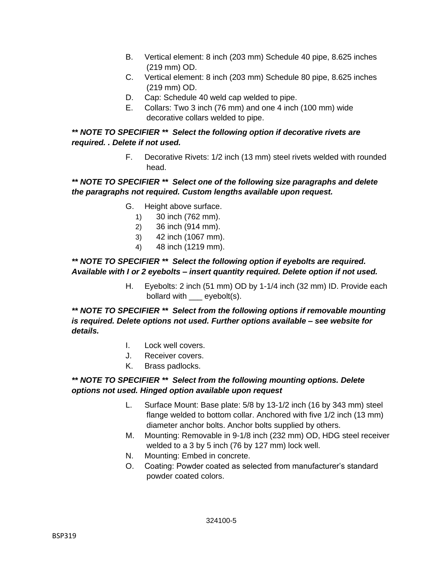- B. Vertical element: 8 inch (203 mm) Schedule 40 pipe, 8.625 inches (219 mm) OD.
- C. Vertical element: 8 inch (203 mm) Schedule 80 pipe, 8.625 inches (219 mm) OD.
- D. Cap: Schedule 40 weld cap welded to pipe.
- E. Collars: Two 3 inch (76 mm) and one 4 inch (100 mm) wide decorative collars welded to pipe.

## *\*\* NOTE TO SPECIFIER \*\* Select the following option if decorative rivets are required. . Delete if not used.*

F. Decorative Rivets: 1/2 inch (13 mm) steel rivets welded with rounded head.

# *\*\* NOTE TO SPECIFIER \*\* Select one of the following size paragraphs and delete the paragraphs not required. Custom lengths available upon request.*

- G. Height above surface.
	- 1) 30 inch (762 mm).
	- 2) 36 inch (914 mm).
	- 3) 42 inch (1067 mm).
	- 4) 48 inch (1219 mm).

## *\*\* NOTE TO SPECIFIER \*\* Select the following option if eyebolts are required. Available with I or 2 eyebolts – insert quantity required. Delete option if not used.*

H. Eyebolts: 2 inch (51 mm) OD by 1-1/4 inch (32 mm) ID. Provide each bollard with eyebolt(s).

*\*\* NOTE TO SPECIFIER \*\* Select from the following options if removable mounting is required. Delete options not used. Further options available – see website for details.*

- I. Lock well covers.
- J. Receiver covers.
- K. Brass padlocks.

## *\*\* NOTE TO SPECIFIER \*\* Select from the following mounting options. Delete options not used. Hinged option available upon request*

- L. Surface Mount: Base plate: 5/8 by 13-1/2 inch (16 by 343 mm) steel flange welded to bottom collar. Anchored with five 1/2 inch (13 mm) diameter anchor bolts. Anchor bolts supplied by others.
- M. Mounting: Removable in 9-1/8 inch (232 mm) OD, HDG steel receiver welded to a 3 by 5 inch (76 by 127 mm) lock well.
- N. Mounting: Embed in concrete.
- O. Coating: Powder coated as selected from manufacturer's standard powder coated colors.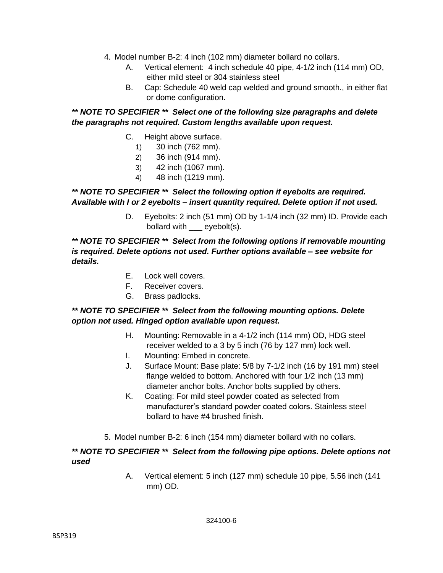- 4. Model number B-2: 4 inch (102 mm) diameter bollard no collars.
	- A. Vertical element: 4 inch schedule 40 pipe, 4-1/2 inch (114 mm) OD, either mild steel or 304 stainless steel
	- B. Cap: Schedule 40 weld cap welded and ground smooth., in either flat or dome configuration.

### *\*\* NOTE TO SPECIFIER \*\* Select one of the following size paragraphs and delete the paragraphs not required. Custom lengths available upon request.*

- C. Height above surface.
	- 1) 30 inch (762 mm).
	- 2) 36 inch (914 mm).
	- 3) 42 inch (1067 mm).
	- 4) 48 inch (1219 mm).

## *\*\* NOTE TO SPECIFIER \*\* Select the following option if eyebolts are required. Available with I or 2 eyebolts – insert quantity required. Delete option if not used.*

D. Eyebolts: 2 inch (51 mm) OD by 1-1/4 inch (32 mm) ID. Provide each bollard with eyebolt(s).

#### *\*\* NOTE TO SPECIFIER \*\* Select from the following options if removable mounting is required. Delete options not used. Further options available – see website for details.*

- E. Lock well covers.
- F. Receiver covers.
- G. Brass padlocks.

## *\*\* NOTE TO SPECIFIER \*\* Select from the following mounting options. Delete option not used. Hinged option available upon request.*

- H. Mounting: Removable in a 4-1/2 inch (114 mm) OD, HDG steel receiver welded to a 3 by 5 inch (76 by 127 mm) lock well.
- I. Mounting: Embed in concrete.
- J. Surface Mount: Base plate: 5/8 by 7-1/2 inch (16 by 191 mm) steel flange welded to bottom. Anchored with four 1/2 inch (13 mm) diameter anchor bolts. Anchor bolts supplied by others.
- K. Coating: For mild steel powder coated as selected from manufacturer's standard powder coated colors. Stainless steel bollard to have #4 brushed finish.
- 5. Model number B-2: 6 inch (154 mm) diameter bollard with no collars.

#### *\*\* NOTE TO SPECIFIER \*\* Select from the following pipe options. Delete options not used*

A. Vertical element: 5 inch (127 mm) schedule 10 pipe, 5.56 inch (141 mm) OD.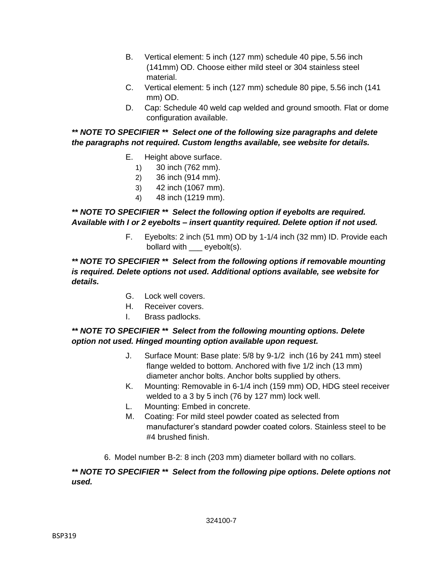- B. Vertical element: 5 inch (127 mm) schedule 40 pipe, 5.56 inch (141mm) OD. Choose either mild steel or 304 stainless steel material.
- C. Vertical element: 5 inch (127 mm) schedule 80 pipe, 5.56 inch (141 mm) OD.
- D. Cap: Schedule 40 weld cap welded and ground smooth. Flat or dome configuration available.

# *\*\* NOTE TO SPECIFIER \*\* Select one of the following size paragraphs and delete the paragraphs not required. Custom lengths available, see website for details.*

- E. Height above surface.
	- 1) 30 inch (762 mm).
	- 2) 36 inch (914 mm).
	- 3) 42 inch (1067 mm).
	- 4) 48 inch (1219 mm).

## *\*\* NOTE TO SPECIFIER \*\* Select the following option if eyebolts are required. Available with I or 2 eyebolts – insert quantity required. Delete option if not used.*

F. Eyebolts: 2 inch (51 mm) OD by 1-1/4 inch (32 mm) ID. Provide each bollard with \_\_\_ eyebolt(s).

#### *\*\* NOTE TO SPECIFIER \*\* Select from the following options if removable mounting is required. Delete options not used. Additional options available, see website for details.*

- G. Lock well covers.
- H. Receiver covers.
- I. Brass padlocks.

# *\*\* NOTE TO SPECIFIER \*\* Select from the following mounting options. Delete option not used. Hinged mounting option available upon request.*

- J. Surface Mount: Base plate: 5/8 by 9-1/2 inch (16 by 241 mm) steel flange welded to bottom. Anchored with five 1/2 inch (13 mm) diameter anchor bolts. Anchor bolts supplied by others.
- K. Mounting: Removable in 6-1/4 inch (159 mm) OD, HDG steel receiver welded to a 3 by 5 inch (76 by 127 mm) lock well.
- L. Mounting: Embed in concrete.
- M. Coating: For mild steel powder coated as selected from manufacturer's standard powder coated colors. Stainless steel to be #4 brushed finish.
- 6. Model number B-2: 8 inch (203 mm) diameter bollard with no collars.

## *\*\* NOTE TO SPECIFIER \*\* Select from the following pipe options. Delete options not used.*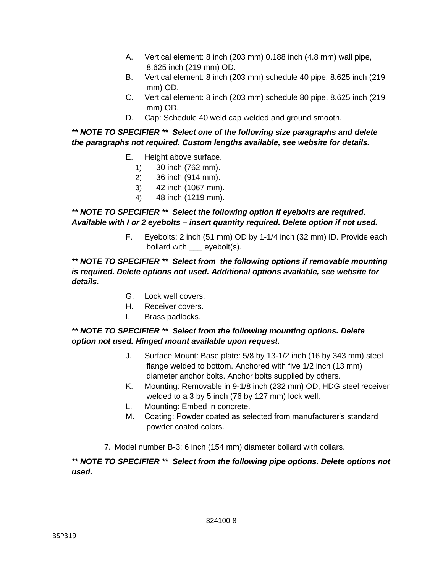- A. Vertical element: 8 inch (203 mm) 0.188 inch (4.8 mm) wall pipe, 8.625 inch (219 mm) OD.
- B. Vertical element: 8 inch (203 mm) schedule 40 pipe, 8.625 inch (219 mm) OD.
- C. Vertical element: 8 inch (203 mm) schedule 80 pipe, 8.625 inch (219 mm) OD.
- D. Cap: Schedule 40 weld cap welded and ground smooth.

# *\*\* NOTE TO SPECIFIER \*\* Select one of the following size paragraphs and delete the paragraphs not required. Custom lengths available, see website for details.*

- E. Height above surface.
	- 1) 30 inch (762 mm).
	- 2) 36 inch (914 mm).
	- 3) 42 inch (1067 mm).
	- 4) 48 inch (1219 mm).

## *\*\* NOTE TO SPECIFIER \*\* Select the following option if eyebolts are required. Available with I or 2 eyebolts – insert quantity required. Delete option if not used.*

F. Eyebolts: 2 inch (51 mm) OD by 1-1/4 inch (32 mm) ID. Provide each bollard with \_\_\_ eyebolt(s).

### *\*\* NOTE TO SPECIFIER \*\* Select from the following options if removable mounting is required. Delete options not used. Additional options available, see website for details.*

- G. Lock well covers.
- H. Receiver covers.
- I. Brass padlocks.

## *\*\* NOTE TO SPECIFIER \*\* Select from the following mounting options. Delete option not used. Hinged mount available upon request.*

- J. Surface Mount: Base plate: 5/8 by 13-1/2 inch (16 by 343 mm) steel flange welded to bottom. Anchored with five 1/2 inch (13 mm) diameter anchor bolts. Anchor bolts supplied by others.
- K. Mounting: Removable in 9-1/8 inch (232 mm) OD, HDG steel receiver welded to a 3 by 5 inch (76 by 127 mm) lock well.
- L. Mounting: Embed in concrete.
- M. Coating: Powder coated as selected from manufacturer's standard powder coated colors.
- 7. Model number B-3: 6 inch (154 mm) diameter bollard with collars.

## *\*\* NOTE TO SPECIFIER \*\* Select from the following pipe options. Delete options not used.*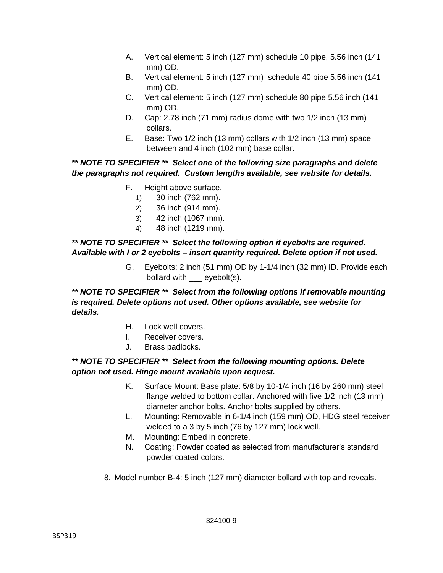- A. Vertical element: 5 inch (127 mm) schedule 10 pipe, 5.56 inch (141 mm) OD.
- B. Vertical element: 5 inch (127 mm) schedule 40 pipe 5.56 inch (141 mm) OD.
- C. Vertical element: 5 inch (127 mm) schedule 80 pipe 5.56 inch (141 mm) OD.
- D. Cap: 2.78 inch (71 mm) radius dome with two 1/2 inch (13 mm) collars.
- E. Base: Two 1/2 inch (13 mm) collars with 1/2 inch (13 mm) space between and 4 inch (102 mm) base collar.

## *\*\* NOTE TO SPECIFIER \*\* Select one of the following size paragraphs and delete the paragraphs not required. Custom lengths available, see website for details.*

- F. Height above surface.
	- 1) 30 inch (762 mm).
	- 2) 36 inch (914 mm).
	- 3) 42 inch (1067 mm).
	- 4) 48 inch (1219 mm).

### *\*\* NOTE TO SPECIFIER \*\* Select the following option if eyebolts are required. Available with I or 2 eyebolts – insert quantity required. Delete option if not used.*

G. Eyebolts: 2 inch (51 mm) OD by 1-1/4 inch (32 mm) ID. Provide each bollard with eyebolt(s).

*\*\* NOTE TO SPECIFIER \*\* Select from the following options if removable mounting is required. Delete options not used. Other options available, see website for details.*

- H. Lock well covers.
- I. Receiver covers.
- J. Brass padlocks.

## *\*\* NOTE TO SPECIFIER \*\* Select from the following mounting options. Delete option not used. Hinge mount available upon request.*

- K. Surface Mount: Base plate: 5/8 by 10-1/4 inch (16 by 260 mm) steel flange welded to bottom collar. Anchored with five 1/2 inch (13 mm) diameter anchor bolts. Anchor bolts supplied by others.
- L. Mounting: Removable in 6-1/4 inch (159 mm) OD, HDG steel receiver welded to a 3 by 5 inch (76 by 127 mm) lock well.
- M. Mounting: Embed in concrete.
- N. Coating: Powder coated as selected from manufacturer's standard powder coated colors.
- 8. Model number B-4: 5 inch (127 mm) diameter bollard with top and reveals.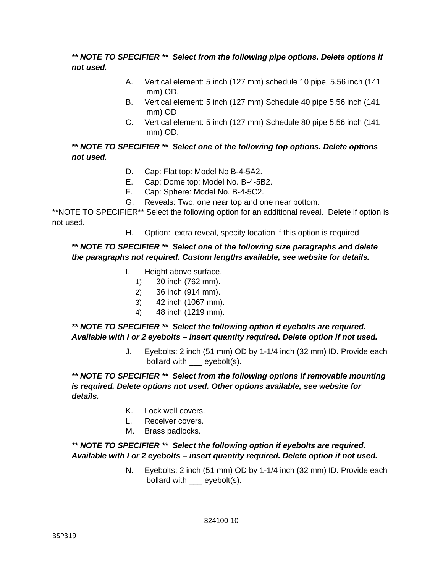## *\*\* NOTE TO SPECIFIER \*\* Select from the following pipe options. Delete options if not used.*

- A. Vertical element: 5 inch (127 mm) schedule 10 pipe, 5.56 inch (141 mm) OD.
- B. Vertical element: 5 inch (127 mm) Schedule 40 pipe 5.56 inch (141 mm) OD
- C. Vertical element: 5 inch (127 mm) Schedule 80 pipe 5.56 inch (141 mm) OD.

## *\*\* NOTE TO SPECIFIER \*\* Select one of the following top options. Delete options not used.*

- D. Cap: Flat top: Model No B-4-5A2.
- E. Cap: Dome top: Model No. B-4-5B2.
- F. Cap: Sphere: Model No. B-4-5C2.
- G. Reveals: Two, one near top and one near bottom.

\*\*NOTE TO SPECIFIER\*\* Select the following option for an additional reveal. Delete if option is not used.

H. Option: extra reveal, specify location if this option is required

## *\*\* NOTE TO SPECIFIER \*\* Select one of the following size paragraphs and delete the paragraphs not required. Custom lengths available, see website for details.*

- I. Height above surface.
	- 1) 30 inch (762 mm).
	- 2) 36 inch (914 mm).
	- 3) 42 inch (1067 mm).
	- 4) 48 inch (1219 mm).

*\*\* NOTE TO SPECIFIER \*\* Select the following option if eyebolts are required. Available with I or 2 eyebolts – insert quantity required. Delete option if not used.*

> J. Eyebolts: 2 inch (51 mm) OD by 1-1/4 inch (32 mm) ID. Provide each bollard with eyebolt(s).

*\*\* NOTE TO SPECIFIER \*\* Select from the following options if removable mounting is required. Delete options not used. Other options available, see website for details.*

- K. Lock well covers.
- L. Receiver covers.
- M. Brass padlocks.

#### *\*\* NOTE TO SPECIFIER \*\* Select the following option if eyebolts are required. Available with I or 2 eyebolts – insert quantity required. Delete option if not used.*

N. Eyebolts: 2 inch (51 mm) OD by 1-1/4 inch (32 mm) ID. Provide each bollard with \_\_\_ eyebolt(s).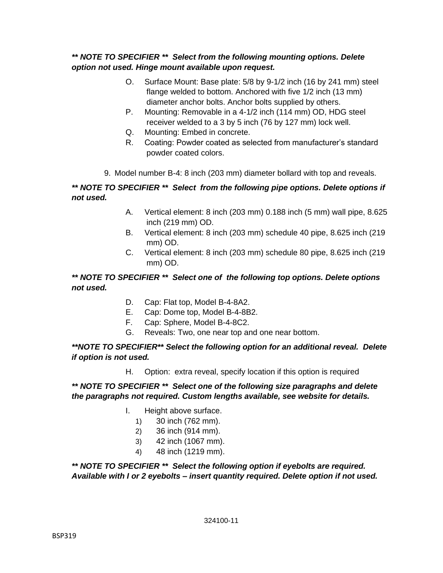## *\*\* NOTE TO SPECIFIER \*\* Select from the following mounting options. Delete option not used. Hinge mount available upon request.*

- O. Surface Mount: Base plate: 5/8 by 9-1/2 inch (16 by 241 mm) steel flange welded to bottom. Anchored with five 1/2 inch (13 mm) diameter anchor bolts. Anchor bolts supplied by others.
- P. Mounting: Removable in a 4-1/2 inch (114 mm) OD, HDG steel receiver welded to a 3 by 5 inch (76 by 127 mm) lock well.
- Q. Mounting: Embed in concrete.
- R. Coating: Powder coated as selected from manufacturer's standard powder coated colors.
- 9. Model number B-4: 8 inch (203 mm) diameter bollard with top and reveals.

# *\*\* NOTE TO SPECIFIER \*\* Select from the following pipe options. Delete options if not used.*

- A. Vertical element: 8 inch (203 mm) 0.188 inch (5 mm) wall pipe, 8.625 inch (219 mm) OD.
- B. Vertical element: 8 inch (203 mm) schedule 40 pipe, 8.625 inch (219 mm) OD.
- C. Vertical element: 8 inch (203 mm) schedule 80 pipe, 8.625 inch (219 mm) OD.

# *\*\* NOTE TO SPECIFIER \*\* Select one of the following top options. Delete options not used.*

- D. Cap: Flat top, Model B-4-8A2.
- E. Cap: Dome top, Model B-4-8B2.
- F. Cap: Sphere, Model B-4-8C2.
- G. Reveals: Two, one near top and one near bottom.

## *\*\*NOTE TO SPECIFIER\*\* Select the following option for an additional reveal. Delete if option is not used.*

H. Option: extra reveal, specify location if this option is required

#### *\*\* NOTE TO SPECIFIER \*\* Select one of the following size paragraphs and delete the paragraphs not required. Custom lengths available, see website for details.*

- I. Height above surface.
	- 1) 30 inch (762 mm).
	- 2) 36 inch (914 mm).
	- 3) 42 inch (1067 mm).
	- 4) 48 inch (1219 mm).

*\*\* NOTE TO SPECIFIER \*\* Select the following option if eyebolts are required. Available with I or 2 eyebolts – insert quantity required. Delete option if not used.*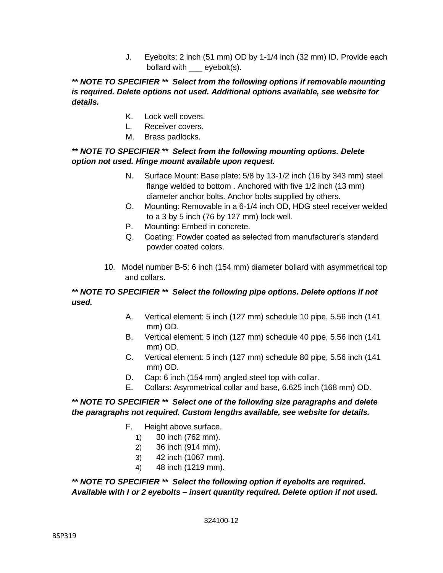J. Eyebolts: 2 inch (51 mm) OD by 1-1/4 inch (32 mm) ID. Provide each bollard with \_\_\_ eyebolt(s).

## *\*\* NOTE TO SPECIFIER \*\* Select from the following options if removable mounting is required. Delete options not used. Additional options available, see website for details.*

- K. Lock well covers.
- L. Receiver covers.
- M. Brass padlocks.

# *\*\* NOTE TO SPECIFIER \*\* Select from the following mounting options. Delete option not used. Hinge mount available upon request.*

- N. Surface Mount: Base plate: 5/8 by 13-1/2 inch (16 by 343 mm) steel flange welded to bottom . Anchored with five 1/2 inch (13 mm) diameter anchor bolts. Anchor bolts supplied by others.
- O. Mounting: Removable in a 6-1/4 inch OD, HDG steel receiver welded to a 3 by 5 inch (76 by 127 mm) lock well.
- P. Mounting: Embed in concrete.
- Q. Coating: Powder coated as selected from manufacturer's standard powder coated colors.
- 10. Model number B-5: 6 inch (154 mm) diameter bollard with asymmetrical top and collars.

# *\*\* NOTE TO SPECIFIER \*\* Select the following pipe options. Delete options if not used.*

- A. Vertical element: 5 inch (127 mm) schedule 10 pipe, 5.56 inch (141 mm) OD.
- B. Vertical element: 5 inch (127 mm) schedule 40 pipe, 5.56 inch (141 mm) OD.
- C. Vertical element: 5 inch (127 mm) schedule 80 pipe, 5.56 inch (141 mm) OD.
- D. Cap: 6 inch (154 mm) angled steel top with collar.
- E. Collars: Asymmetrical collar and base, 6.625 inch (168 mm) OD.

## *\*\* NOTE TO SPECIFIER \*\* Select one of the following size paragraphs and delete the paragraphs not required. Custom lengths available, see website for details.*

- F. Height above surface.
	- 1) 30 inch (762 mm).
	- 2) 36 inch (914 mm).
	- 3) 42 inch (1067 mm).
	- 4) 48 inch (1219 mm).

*\*\* NOTE TO SPECIFIER \*\* Select the following option if eyebolts are required. Available with I or 2 eyebolts – insert quantity required. Delete option if not used.*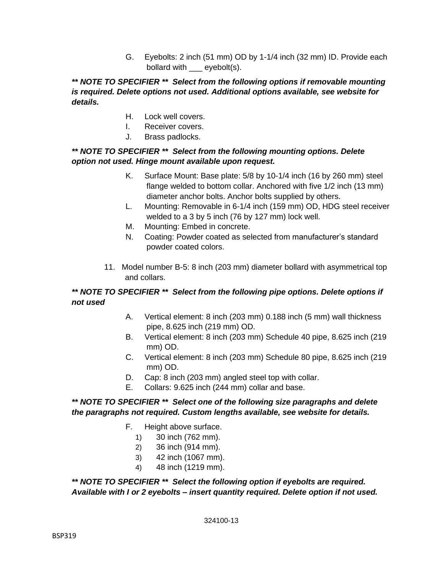G. Eyebolts: 2 inch (51 mm) OD by 1-1/4 inch (32 mm) ID. Provide each bollard with \_\_\_ eyebolt(s).

## *\*\* NOTE TO SPECIFIER \*\* Select from the following options if removable mounting is required. Delete options not used. Additional options available, see website for details.*

- H. Lock well covers.
- I. Receiver covers.
- J. Brass padlocks.

# *\*\* NOTE TO SPECIFIER \*\* Select from the following mounting options. Delete option not used. Hinge mount available upon request.*

- K. Surface Mount: Base plate: 5/8 by 10-1/4 inch (16 by 260 mm) steel flange welded to bottom collar. Anchored with five 1/2 inch (13 mm) diameter anchor bolts. Anchor bolts supplied by others.
- L. Mounting: Removable in 6-1/4 inch (159 mm) OD, HDG steel receiver welded to a 3 by 5 inch (76 by 127 mm) lock well.
- M. Mounting: Embed in concrete.
- N. Coating: Powder coated as selected from manufacturer's standard powder coated colors.
- 11. Model number B-5: 8 inch (203 mm) diameter bollard with asymmetrical top and collars.

# *\*\* NOTE TO SPECIFIER \*\* Select from the following pipe options. Delete options if not used*

- A. Vertical element: 8 inch (203 mm) 0.188 inch (5 mm) wall thickness pipe, 8.625 inch (219 mm) OD.
- B. Vertical element: 8 inch (203 mm) Schedule 40 pipe, 8.625 inch (219 mm) OD.
- C. Vertical element: 8 inch (203 mm) Schedule 80 pipe, 8.625 inch (219 mm) OD.
- D. Cap: 8 inch (203 mm) angled steel top with collar.
- E. Collars: 9.625 inch (244 mm) collar and base.

## *\*\* NOTE TO SPECIFIER \*\* Select one of the following size paragraphs and delete the paragraphs not required. Custom lengths available, see website for details.*

- F. Height above surface.
	- 1) 30 inch (762 mm).
	- 2) 36 inch (914 mm).
	- 3) 42 inch (1067 mm).
	- 4) 48 inch (1219 mm).

*\*\* NOTE TO SPECIFIER \*\* Select the following option if eyebolts are required. Available with I or 2 eyebolts – insert quantity required. Delete option if not used.*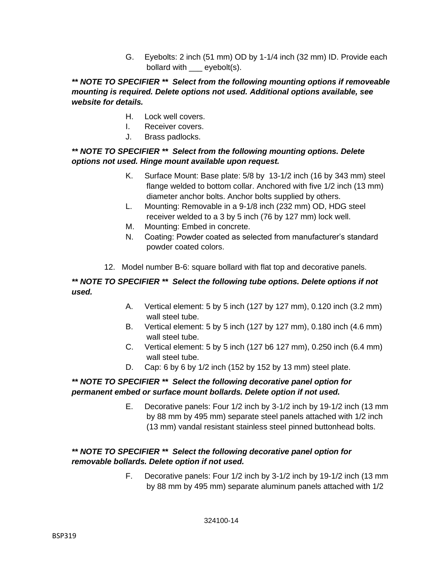G. Eyebolts: 2 inch (51 mm) OD by 1-1/4 inch (32 mm) ID. Provide each bollard with eyebolt(s).

# *\*\* NOTE TO SPECIFIER \*\* Select from the following mounting options if removeable mounting is required. Delete options not used. Additional options available, see website for details.*

- H. Lock well covers.
- I. Receiver covers.
- J. Brass padlocks.

# *\*\* NOTE TO SPECIFIER \*\* Select from the following mounting options. Delete options not used. Hinge mount available upon request.*

- K. Surface Mount: Base plate: 5/8 by 13-1/2 inch (16 by 343 mm) steel flange welded to bottom collar. Anchored with five 1/2 inch (13 mm) diameter anchor bolts. Anchor bolts supplied by others.
- L. Mounting: Removable in a 9-1/8 inch (232 mm) OD, HDG steel receiver welded to a 3 by 5 inch (76 by 127 mm) lock well.
- M. Mounting: Embed in concrete.
- N. Coating: Powder coated as selected from manufacturer's standard powder coated colors.
- 12. Model number B-6: square bollard with flat top and decorative panels.

# *\*\* NOTE TO SPECIFIER \*\* Select the following tube options. Delete options if not used.*

- A. Vertical element: 5 by 5 inch (127 by 127 mm), 0.120 inch (3.2 mm) wall steel tube.
- B. Vertical element: 5 by 5 inch (127 by 127 mm), 0.180 inch (4.6 mm) wall steel tube.
- C. Vertical element: 5 by 5 inch (127 b6 127 mm), 0.250 inch (6.4 mm) wall steel tube.
- D. Cap: 6 by 6 by 1/2 inch (152 by 152 by 13 mm) steel plate.

## *\*\* NOTE TO SPECIFIER \*\* Select the following decorative panel option for permanent embed or surface mount bollards. Delete option if not used.*

E. Decorative panels: Four 1/2 inch by 3-1/2 inch by 19-1/2 inch (13 mm by 88 mm by 495 mm) separate steel panels attached with 1/2 inch (13 mm) vandal resistant stainless steel pinned buttonhead bolts.

# *\*\* NOTE TO SPECIFIER \*\* Select the following decorative panel option for removable bollards. Delete option if not used.*

F. Decorative panels: Four 1/2 inch by 3-1/2 inch by 19-1/2 inch (13 mm by 88 mm by 495 mm) separate aluminum panels attached with 1/2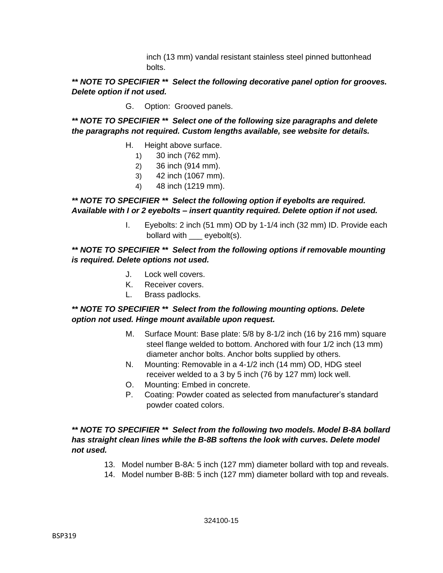inch (13 mm) vandal resistant stainless steel pinned buttonhead bolts.

## *\*\* NOTE TO SPECIFIER \*\* Select the following decorative panel option for grooves. Delete option if not used.*

G. Option: Grooved panels.

*\*\* NOTE TO SPECIFIER \*\* Select one of the following size paragraphs and delete the paragraphs not required. Custom lengths available, see website for details.*

- H. Height above surface.
	- 1) 30 inch (762 mm).
	- 2) 36 inch (914 mm).
	- 3) 42 inch (1067 mm).
	- 4) 48 inch (1219 mm).

# *\*\* NOTE TO SPECIFIER \*\* Select the following option if eyebolts are required. Available with I or 2 eyebolts – insert quantity required. Delete option if not used.*

I. Eyebolts: 2 inch (51 mm) OD by 1-1/4 inch (32 mm) ID. Provide each bollard with eyebolt(s).

#### *\*\* NOTE TO SPECIFIER \*\* Select from the following options if removable mounting is required. Delete options not used.*

- J. Lock well covers.
- K. Receiver covers.
- L. Brass padlocks.

#### *\*\* NOTE TO SPECIFIER \*\* Select from the following mounting options. Delete option not used. Hinge mount available upon request.*

- M. Surface Mount: Base plate: 5/8 by 8-1/2 inch (16 by 216 mm) square steel flange welded to bottom. Anchored with four 1/2 inch (13 mm) diameter anchor bolts. Anchor bolts supplied by others.
- N. Mounting: Removable in a 4-1/2 inch (14 mm) OD, HDG steel receiver welded to a 3 by 5 inch (76 by 127 mm) lock well.
- O. Mounting: Embed in concrete.
- P. Coating: Powder coated as selected from manufacturer's standard powder coated colors.

#### *\*\* NOTE TO SPECIFIER \*\* Select from the following two models. Model B-8A bollard*  has straight clean lines while the B-8B softens the look with curves. Delete model *not used.*

- 13. Model number B-8A: 5 inch (127 mm) diameter bollard with top and reveals.
- 14. Model number B-8B: 5 inch (127 mm) diameter bollard with top and reveals.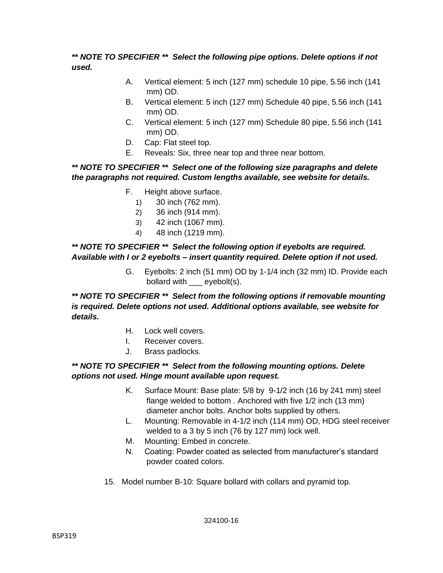## *\*\* NOTE TO SPECIFIER \*\* Select the following pipe options. Delete options if not used.*

- A. Vertical element: 5 inch (127 mm) schedule 10 pipe, 5.56 inch (141 mm) OD.
- B. Vertical element: 5 inch (127 mm) Schedule 40 pipe, 5.56 inch (141 mm) OD.
- C. Vertical element: 5 inch (127 mm) Schedule 80 pipe, 5.56 inch (141 mm) OD.
- D. Cap: Flat steel top.
- E. Reveals: Six, three near top and three near bottom.

# *\*\* NOTE TO SPECIFIER \*\* Select one of the following size paragraphs and delete the paragraphs not required. Custom lengths available, see website for details.*

- F. Height above surface.
	- 1) 30 inch (762 mm).
	- 2) 36 inch (914 mm).
	- 3) 42 inch (1067 mm).
	- 4) 48 inch (1219 mm).

## *\*\* NOTE TO SPECIFIER \*\* Select the following option if eyebolts are required. Available with I or 2 eyebolts – insert quantity required. Delete option if not used.*

G. Eyebolts: 2 inch (51 mm) OD by 1-1/4 inch (32 mm) ID. Provide each bollard with \_\_\_ eyebolt(s).

## *\*\* NOTE TO SPECIFIER \*\* Select from the following options if removable mounting is required. Delete options not used. Additional options available, see website for details.*

- H. Lock well covers.
- I. Receiver covers.
- J. Brass padlocks.

## *\*\* NOTE TO SPECIFIER \*\* Select from the following mounting options. Delete options not used. Hinge mount available upon request.*

- K. Surface Mount: Base plate: 5/8 by 9-1/2 inch (16 by 241 mm) steel flange welded to bottom . Anchored with five 1/2 inch (13 mm) diameter anchor bolts. Anchor bolts supplied by others.
- L. Mounting: Removable in 4-1/2 inch (114 mm) OD, HDG steel receiver welded to a 3 by 5 inch (76 by 127 mm) lock well.
- M. Mounting: Embed in concrete.
- N. Coating: Powder coated as selected from manufacturer's standard powder coated colors.
- 15. Model number B-10: Square bollard with collars and pyramid top.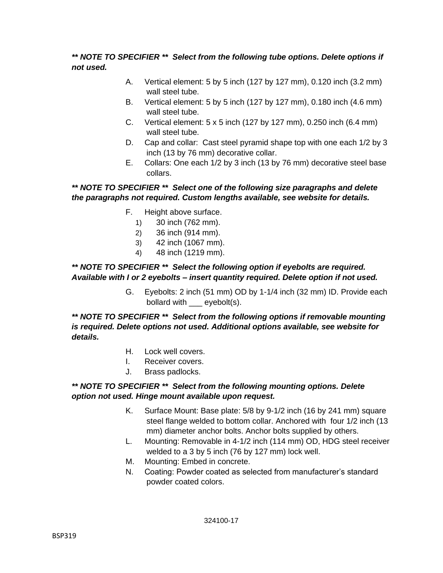# *\*\* NOTE TO SPECIFIER \*\* Select from the following tube options. Delete options if not used.*

- A. Vertical element: 5 by 5 inch (127 by 127 mm), 0.120 inch (3.2 mm) wall steel tube.
- B. Vertical element: 5 by 5 inch (127 by 127 mm), 0.180 inch (4.6 mm) wall steel tube.
- C. Vertical element: 5 x 5 inch (127 by 127 mm), 0.250 inch (6.4 mm) wall steel tube.
- D. Cap and collar: Cast steel pyramid shape top with one each 1/2 by 3 inch (13 by 76 mm) decorative collar.
- E. Collars: One each 1/2 by 3 inch (13 by 76 mm) decorative steel base collars.

# *\*\* NOTE TO SPECIFIER \*\* Select one of the following size paragraphs and delete the paragraphs not required. Custom lengths available, see website for details.*

- F. Height above surface.
	- 1) 30 inch (762 mm).
	- 2) 36 inch (914 mm).
	- 3) 42 inch (1067 mm).
	- 4) 48 inch (1219 mm).

#### *\*\* NOTE TO SPECIFIER \*\* Select the following option if eyebolts are required. Available with I or 2 eyebolts – insert quantity required. Delete option if not used.*

G. Eyebolts: 2 inch (51 mm) OD by 1-1/4 inch (32 mm) ID. Provide each bollard with \_\_\_ eyebolt(s).

*\*\* NOTE TO SPECIFIER \*\* Select from the following options if removable mounting is required. Delete options not used. Additional options available, see website for details.*

- H. Lock well covers.
- I. Receiver covers.
- J. Brass padlocks.

#### *\*\* NOTE TO SPECIFIER \*\* Select from the following mounting options. Delete option not used. Hinge mount available upon request.*

- K. Surface Mount: Base plate: 5/8 by 9-1/2 inch (16 by 241 mm) square steel flange welded to bottom collar. Anchored with four 1/2 inch (13 mm) diameter anchor bolts. Anchor bolts supplied by others.
- L. Mounting: Removable in 4-1/2 inch (114 mm) OD, HDG steel receiver welded to a 3 by 5 inch (76 by 127 mm) lock well.
- M. Mounting: Embed in concrete.
- N. Coating: Powder coated as selected from manufacturer's standard powder coated colors.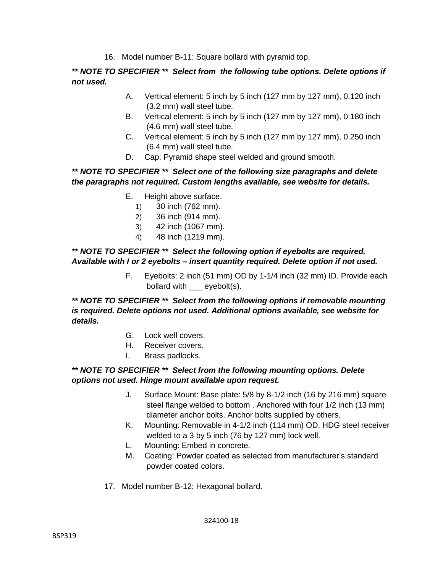16. Model number B-11: Square bollard with pyramid top.

*\*\* NOTE TO SPECIFIER \*\* Select from the following tube options. Delete options if not used.*

- A. Vertical element: 5 inch by 5 inch (127 mm by 127 mm), 0.120 inch (3.2 mm) wall steel tube.
- B. Vertical element: 5 inch by 5 inch (127 mm by 127 mm), 0.180 inch (4.6 mm) wall steel tube.
- C. Vertical element: 5 inch by 5 inch (127 mm by 127 mm), 0.250 inch (6.4 mm) wall steel tube.
- D. Cap: Pyramid shape steel welded and ground smooth.

## *\*\* NOTE TO SPECIFIER \*\* Select one of the following size paragraphs and delete the paragraphs not required. Custom lengths available, see website for details.*

- E. Height above surface.
	- 1) 30 inch (762 mm).
	- 2) 36 inch (914 mm).
	- 3) 42 inch (1067 mm).
	- 4) 48 inch (1219 mm).

### *\*\* NOTE TO SPECIFIER \*\* Select the following option if eyebolts are required. Available with I or 2 eyebolts – insert quantity required. Delete option if not used.*

F. Eyebolts: 2 inch (51 mm) OD by 1-1/4 inch (32 mm) ID. Provide each bollard with eyebolt(s).

*\*\* NOTE TO SPECIFIER \*\* Select from the following options if removable mounting is required. Delete options not used. Additional options available, see website for details.*

- G. Lock well covers.
- H. Receiver covers.
- I. Brass padlocks.

## *\*\* NOTE TO SPECIFIER \*\* Select from the following mounting options. Delete options not used. Hinge mount available upon request.*

- J. Surface Mount: Base plate: 5/8 by 8-1/2 inch (16 by 216 mm) square steel flange welded to bottom . Anchored with four 1/2 inch (13 mm) diameter anchor bolts. Anchor bolts supplied by others.
- K. Mounting: Removable in 4-1/2 inch (114 mm) OD, HDG steel receiver welded to a 3 by 5 inch (76 by 127 mm) lock well.
- L. Mounting: Embed in concrete.
- M. Coating: Powder coated as selected from manufacturer's standard powder coated colors.
- 17. Model number B-12: Hexagonal bollard.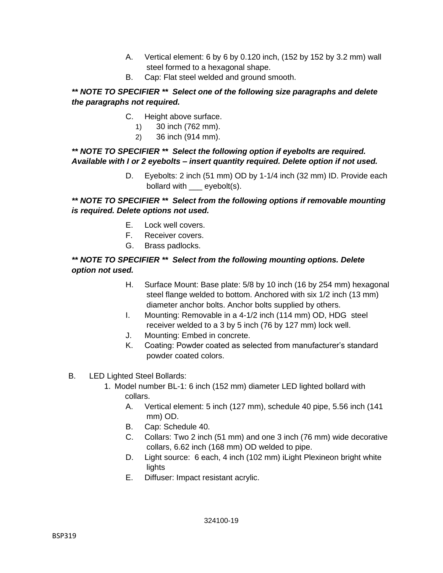- A. Vertical element: 6 by 6 by 0.120 inch, (152 by 152 by 3.2 mm) wall steel formed to a hexagonal shape.
- B. Cap: Flat steel welded and ground smooth.

# *\*\* NOTE TO SPECIFIER \*\* Select one of the following size paragraphs and delete the paragraphs not required.*

- C. Height above surface.
	- 1) 30 inch (762 mm).
	- 2) 36 inch (914 mm).

## *\*\* NOTE TO SPECIFIER \*\* Select the following option if eyebolts are required. Available with I or 2 eyebolts – insert quantity required. Delete option if not used.*

D. Eyebolts: 2 inch (51 mm) OD by 1-1/4 inch (32 mm) ID. Provide each bollard with eyebolt(s).

# *\*\* NOTE TO SPECIFIER \*\* Select from the following options if removable mounting is required. Delete options not used.*

- E. Lock well covers.
- F. Receiver covers.
- G. Brass padlocks.

## *\*\* NOTE TO SPECIFIER \*\* Select from the following mounting options. Delete option not used.*

- H. Surface Mount: Base plate: 5/8 by 10 inch (16 by 254 mm) hexagonal steel flange welded to bottom. Anchored with six 1/2 inch (13 mm) diameter anchor bolts. Anchor bolts supplied by others.
- I. Mounting: Removable in a 4-1/2 inch (114 mm) OD, HDG steel receiver welded to a 3 by 5 inch (76 by 127 mm) lock well.
- J. Mounting: Embed in concrete.
- K. Coating: Powder coated as selected from manufacturer's standard powder coated colors.
- B. LED Lighted Steel Bollards:
	- 1. Model number BL-1: 6 inch (152 mm) diameter LED lighted bollard with collars.
		- A. Vertical element: 5 inch (127 mm), schedule 40 pipe, 5.56 inch (141 mm) OD.
		- B. Cap: Schedule 40.
		- C. Collars: Two 2 inch (51 mm) and one 3 inch (76 mm) wide decorative collars, 6.62 inch (168 mm) OD welded to pipe.
		- D. Light source: 6 each, 4 inch (102 mm) iLight Plexineon bright white lights
		- E. Diffuser: Impact resistant acrylic.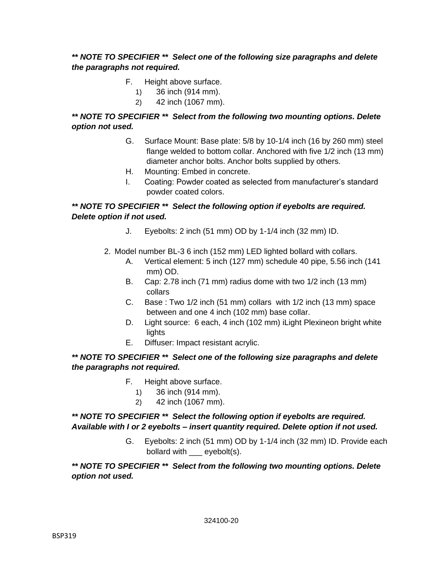# *\*\* NOTE TO SPECIFIER \*\* Select one of the following size paragraphs and delete the paragraphs not required.*

- F. Height above surface.
	- 1) 36 inch (914 mm).
	- 2) 42 inch (1067 mm).

## *\*\* NOTE TO SPECIFIER \*\* Select from the following two mounting options. Delete option not used.*

- G. Surface Mount: Base plate: 5/8 by 10-1/4 inch (16 by 260 mm) steel flange welded to bottom collar. Anchored with five 1/2 inch (13 mm) diameter anchor bolts. Anchor bolts supplied by others.
- H. Mounting: Embed in concrete.
- I. Coating: Powder coated as selected from manufacturer's standard powder coated colors.

## *\*\* NOTE TO SPECIFIER \*\* Select the following option if eyebolts are required. Delete option if not used.*

- J. Eyebolts: 2 inch (51 mm) OD by 1-1/4 inch (32 mm) ID.
- 2. Model number BL-3 6 inch (152 mm) LED lighted bollard with collars.
	- A. Vertical element: 5 inch (127 mm) schedule 40 pipe, 5.56 inch (141 mm) OD.
	- B. Cap: 2.78 inch (71 mm) radius dome with two 1/2 inch (13 mm) collars
	- C. Base : Two 1/2 inch (51 mm) collars with 1/2 inch (13 mm) space between and one 4 inch (102 mm) base collar.
	- D. Light source: 6 each, 4 inch (102 mm) iLight Plexineon bright white **lights**
	- E. Diffuser: Impact resistant acrylic.

# *\*\* NOTE TO SPECIFIER \*\* Select one of the following size paragraphs and delete the paragraphs not required.*

# F. Height above surface.

- 1) 36 inch (914 mm).
- 2) 42 inch (1067 mm).

# *\*\* NOTE TO SPECIFIER \*\* Select the following option if eyebolts are required. Available with I or 2 eyebolts – insert quantity required. Delete option if not used.*

G. Eyebolts: 2 inch (51 mm) OD by 1-1/4 inch (32 mm) ID. Provide each bollard with eyebolt(s).

*\*\* NOTE TO SPECIFIER \*\* Select from the following two mounting options. Delete option not used.*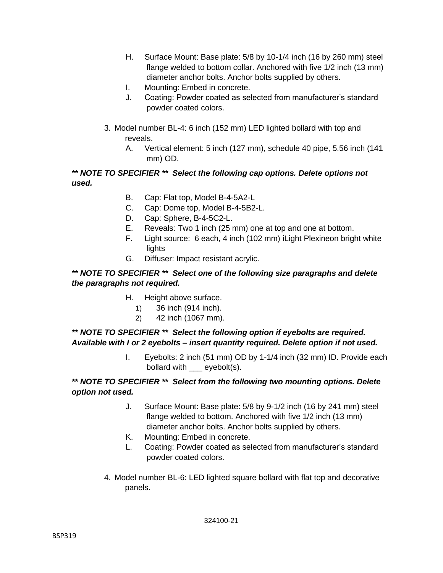- H. Surface Mount: Base plate: 5/8 by 10-1/4 inch (16 by 260 mm) steel flange welded to bottom collar. Anchored with five 1/2 inch (13 mm) diameter anchor bolts. Anchor bolts supplied by others.
- I. Mounting: Embed in concrete.
- J. Coating: Powder coated as selected from manufacturer's standard powder coated colors.
- 3. Model number BL-4: 6 inch (152 mm) LED lighted bollard with top and reveals.
	- A. Vertical element: 5 inch (127 mm), schedule 40 pipe, 5.56 inch (141 mm) OD.

## *\*\* NOTE TO SPECIFIER \*\* Select the following cap options. Delete options not used.*

- B. Cap: Flat top, Model B-4-5A2-L
- C. Cap: Dome top, Model B-4-5B2-L.
- D. Cap: Sphere, B-4-5C2-L.
- E. Reveals: Two 1 inch (25 mm) one at top and one at bottom.
- F. Light source: 6 each, 4 inch (102 mm) iLight Plexineon bright white lights
- G. Diffuser: Impact resistant acrylic.

## *\*\* NOTE TO SPECIFIER \*\* Select one of the following size paragraphs and delete the paragraphs not required.*

- H. Height above surface.
	- 1) 36 inch (914 inch).
	- 2) 42 inch (1067 mm).

## *\*\* NOTE TO SPECIFIER \*\* Select the following option if eyebolts are required. Available with I or 2 eyebolts – insert quantity required. Delete option if not used.*

I. Eyebolts: 2 inch (51 mm) OD by 1-1/4 inch (32 mm) ID. Provide each bollard with eyebolt(s).

## *\*\* NOTE TO SPECIFIER \*\* Select from the following two mounting options. Delete option not used.*

- J. Surface Mount: Base plate: 5/8 by 9-1/2 inch (16 by 241 mm) steel flange welded to bottom. Anchored with five 1/2 inch (13 mm) diameter anchor bolts. Anchor bolts supplied by others.
- K. Mounting: Embed in concrete.
- L. Coating: Powder coated as selected from manufacturer's standard powder coated colors.
- 4. Model number BL-6: LED lighted square bollard with flat top and decorative panels.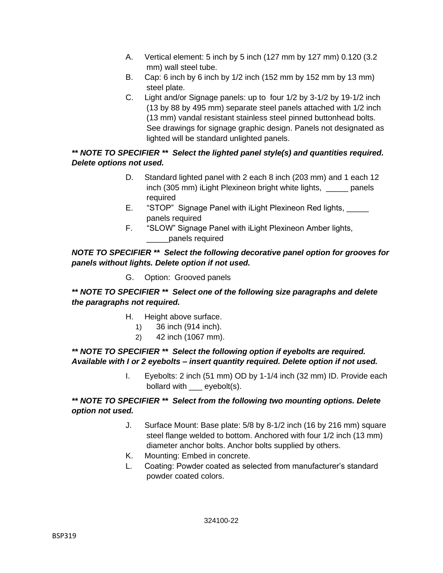- A. Vertical element: 5 inch by 5 inch (127 mm by 127 mm) 0.120 (3.2 mm) wall steel tube.
- B. Cap: 6 inch by 6 inch by 1/2 inch (152 mm by 152 mm by 13 mm) steel plate.
- C. Light and/or Signage panels: up to four 1/2 by 3-1/2 by 19-1/2 inch (13 by 88 by 495 mm) separate steel panels attached with 1/2 inch (13 mm) vandal resistant stainless steel pinned buttonhead bolts. See drawings for signage graphic design. Panels not designated as lighted will be standard unlighted panels.

## *\*\* NOTE TO SPECIFIER \*\* Select the lighted panel style(s) and quantities required. Delete options not used.*

- D. Standard lighted panel with 2 each 8 inch (203 mm) and 1 each 12 inch (305 mm) iLight Plexineon bright white lights, panels required
- E. "STOP" Signage Panel with iLight Plexineon Red lights, panels required
- F. "SLOW" Signage Panel with iLight Plexineon Amber lights, \_\_\_\_\_panels required

## *NOTE TO SPECIFIER \*\* Select the following decorative panel option for grooves for panels without lights. Delete option if not used.*

G. Option: Grooved panels

# *\*\* NOTE TO SPECIFIER \*\* Select one of the following size paragraphs and delete the paragraphs not required.*

- H. Height above surface.
	- 1) 36 inch (914 inch).
	- 2) 42 inch (1067 mm).

## *\*\* NOTE TO SPECIFIER \*\* Select the following option if eyebolts are required. Available with I or 2 eyebolts – insert quantity required. Delete option if not used.*

I. Eyebolts: 2 inch (51 mm) OD by 1-1/4 inch (32 mm) ID. Provide each bollard with \_\_\_ eyebolt(s).

# *\*\* NOTE TO SPECIFIER \*\* Select from the following two mounting options. Delete option not used.*

- J. Surface Mount: Base plate: 5/8 by 8-1/2 inch (16 by 216 mm) square steel flange welded to bottom. Anchored with four 1/2 inch (13 mm) diameter anchor bolts. Anchor bolts supplied by others.
- K. Mounting: Embed in concrete.
- L. Coating: Powder coated as selected from manufacturer's standard powder coated colors.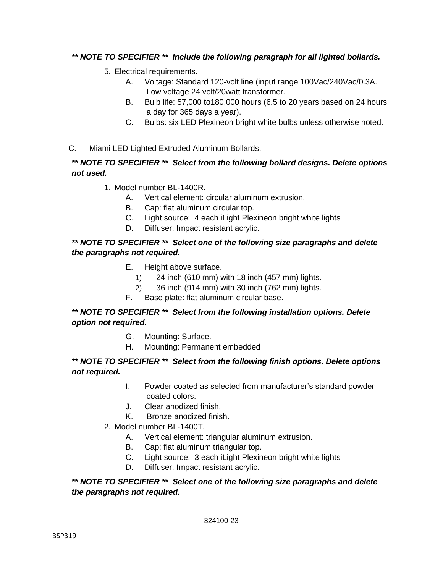# *\*\* NOTE TO SPECIFIER \*\* Include the following paragraph for all lighted bollards.*

- 5. Electrical requirements.
	- A. Voltage: Standard 120-volt line (input range 100Vac/240Vac/0.3A. Low voltage 24 volt/20watt transformer.
	- B. Bulb life: 57,000 to180,000 hours (6.5 to 20 years based on 24 hours a day for 365 days a year).
	- C. Bulbs: six LED Plexineon bright white bulbs unless otherwise noted.
- C. Miami LED Lighted Extruded Aluminum Bollards.

## *\*\* NOTE TO SPECIFIER \*\* Select from the following bollard designs. Delete options not used.*

- 1. Model number BL-1400R.
	- A. Vertical element: circular aluminum extrusion.
	- B. Cap: flat aluminum circular top.
	- C. Light source: 4 each iLight Plexineon bright white lights
	- D. Diffuser: Impact resistant acrylic.

## *\*\* NOTE TO SPECIFIER \*\* Select one of the following size paragraphs and delete the paragraphs not required.*

- E. Height above surface.
	- 1) 24 inch (610 mm) with 18 inch (457 mm) lights.
	- 2) 36 inch (914 mm) with 30 inch (762 mm) lights.
- F. Base plate: flat aluminum circular base.

## *\*\* NOTE TO SPECIFIER \*\* Select from the following installation options. Delete option not required.*

- G. Mounting: Surface.
- H. Mounting: Permanent embedded

#### *\*\* NOTE TO SPECIFIER \*\* Select from the following finish options. Delete options not required.*

- I. Powder coated as selected from manufacturer's standard powder coated colors.
- J. Clear anodized finish.
- K. Bronze anodized finish.
- 2. Model number BL-1400T.
	- A. Vertical element: triangular aluminum extrusion.
	- B. Cap: flat aluminum triangular top.
	- C. Light source: 3 each iLight Plexineon bright white lights
	- D. Diffuser: Impact resistant acrylic.

#### *\*\* NOTE TO SPECIFIER \*\* Select one of the following size paragraphs and delete the paragraphs not required.*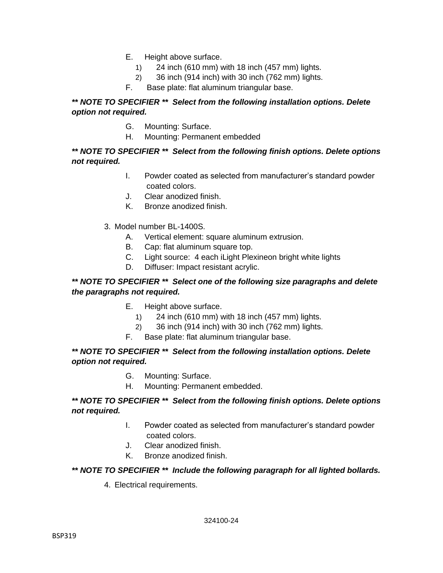- E. Height above surface.
	- 1) 24 inch (610 mm) with 18 inch (457 mm) lights.
	- 2) 36 inch (914 inch) with 30 inch (762 mm) lights.
- F. Base plate: flat aluminum triangular base.

### *\*\* NOTE TO SPECIFIER \*\* Select from the following installation options. Delete option not required.*

- G. Mounting: Surface.
- H. Mounting: Permanent embedded

### *\*\* NOTE TO SPECIFIER \*\* Select from the following finish options. Delete options not required.*

- I. Powder coated as selected from manufacturer's standard powder coated colors.
- J. Clear anodized finish.
- K. Bronze anodized finish.
- 3. Model number BL-1400S.
	- A. Vertical element: square aluminum extrusion.
	- B. Cap: flat aluminum square top.
	- C. Light source: 4 each iLight Plexineon bright white lights
	- D. Diffuser: Impact resistant acrylic.

## *\*\* NOTE TO SPECIFIER \*\* Select one of the following size paragraphs and delete the paragraphs not required.*

- E. Height above surface.
	- 1) 24 inch (610 mm) with 18 inch (457 mm) lights.
	- 2) 36 inch (914 inch) with 30 inch (762 mm) lights.
- F. Base plate: flat aluminum triangular base.

#### *\*\* NOTE TO SPECIFIER \*\* Select from the following installation options. Delete option not required.*

- G. Mounting: Surface.
- H. Mounting: Permanent embedded.

#### *\*\* NOTE TO SPECIFIER \*\* Select from the following finish options. Delete options not required.*

- I. Powder coated as selected from manufacturer's standard powder coated colors.
- J. Clear anodized finish.
- K. Bronze anodized finish.

#### *\*\* NOTE TO SPECIFIER \*\* Include the following paragraph for all lighted bollards.*

4. Electrical requirements.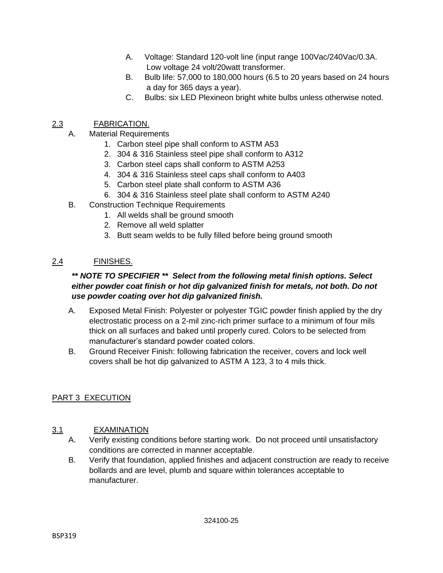- A. Voltage: Standard 120-volt line (input range 100Vac/240Vac/0.3A. Low voltage 24 volt/20watt transformer.
- B. Bulb life: 57,000 to 180,000 hours (6.5 to 20 years based on 24 hours a day for 365 days a year).
- C. Bulbs: six LED Plexineon bright white bulbs unless otherwise noted.

# 2.3 FABRICATION.

- A. Material Requirements
	- 1. Carbon steel pipe shall conform to ASTM A53
	- 2. 304 & 316 Stainless steel pipe shall conform to A312
	- 3. Carbon steel caps shall conform to ASTM A253
	- 4. 304 & 316 Stainless steel caps shall conform to A403
	- 5. Carbon steel plate shall conform to ASTM A36
	- 6. 304 & 316 Stainless steel plate shall conform to ASTM A240
- B. Construction Technique Requirements
	- 1. All welds shall be ground smooth
	- 2. Remove all weld splatter
	- 3. Butt seam welds to be fully filled before being ground smooth

# 2.4 FINISHES.

### *\*\* NOTE TO SPECIFIER \*\* Select from the following metal finish options. Select either powder coat finish or hot dip galvanized finish for metals, not both. Do not use powder coating over hot dip galvanized finish.*

- A. Exposed Metal Finish: Polyester or polyester TGIC powder finish applied by the dry electrostatic process on a 2-mil zinc-rich primer surface to a minimum of four mils thick on all surfaces and baked until properly cured. Colors to be selected from manufacturer's standard powder coated colors.
- B. Ground Receiver Finish: following fabrication the receiver, covers and lock well covers shall be hot dip galvanized to ASTM A 123, 3 to 4 mils thick.

# PART 3 EXECUTION

## 3.1 EXAMINATION

- A. Verify existing conditions before starting work. Do not proceed until unsatisfactory conditions are corrected in manner acceptable.
- B. Verify that foundation, applied finishes and adjacent construction are ready to receive bollards and are level, plumb and square within tolerances acceptable to manufacturer.